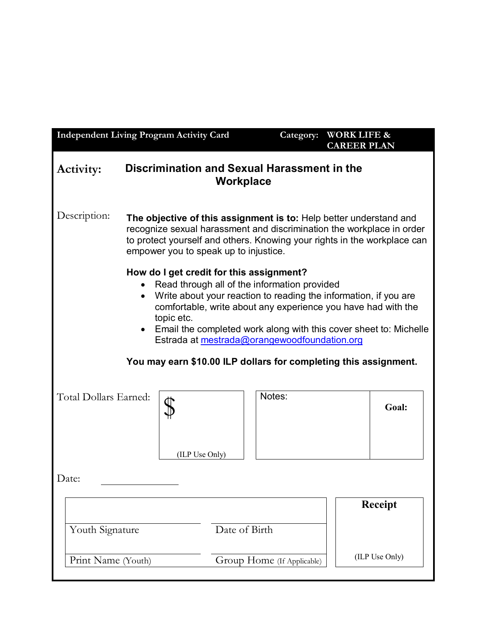| <b>Independent Living Program Activity Card</b>                                                                                                                                                                                                                                                                                                                                 |                                                                                                                                                                                                                                                                  |               | Category:                  | <b>WORK LIFE &amp;</b><br><b>CAREER PLAN</b> |                                  |
|---------------------------------------------------------------------------------------------------------------------------------------------------------------------------------------------------------------------------------------------------------------------------------------------------------------------------------------------------------------------------------|------------------------------------------------------------------------------------------------------------------------------------------------------------------------------------------------------------------------------------------------------------------|---------------|----------------------------|----------------------------------------------|----------------------------------|
| <b>Discrimination and Sexual Harassment in the</b><br><b>Activity:</b><br>Workplace                                                                                                                                                                                                                                                                                             |                                                                                                                                                                                                                                                                  |               |                            |                                              |                                  |
| Description:                                                                                                                                                                                                                                                                                                                                                                    | The objective of this assignment is to: Help better understand and<br>recognize sexual harassment and discrimination the workplace in order<br>to protect yourself and others. Knowing your rights in the workplace can<br>empower you to speak up to injustice. |               |                            |                                              |                                  |
| How do I get credit for this assignment?<br>Read through all of the information provided<br>Write about your reaction to reading the information, if you are<br>$\bullet$<br>comfortable, write about any experience you have had with the<br>topic etc.<br>• Email the completed work along with this cover sheet to: Michelle<br>Estrada at mestrada@orangewoodfoundation.org |                                                                                                                                                                                                                                                                  |               |                            |                                              |                                  |
| You may earn \$10.00 ILP dollars for completing this assignment.                                                                                                                                                                                                                                                                                                                |                                                                                                                                                                                                                                                                  |               |                            |                                              |                                  |
| Total Dollars Earned:                                                                                                                                                                                                                                                                                                                                                           | (ILP Use Only)                                                                                                                                                                                                                                                   |               | Notes:                     |                                              | Goal:                            |
| Date:                                                                                                                                                                                                                                                                                                                                                                           |                                                                                                                                                                                                                                                                  |               |                            |                                              |                                  |
| Youth Signature                                                                                                                                                                                                                                                                                                                                                                 |                                                                                                                                                                                                                                                                  | Date of Birth |                            |                                              | <b>Receipt</b><br>(ILP Use Only) |
| Print Name (Youth)                                                                                                                                                                                                                                                                                                                                                              |                                                                                                                                                                                                                                                                  |               | Group Home (If Applicable) |                                              |                                  |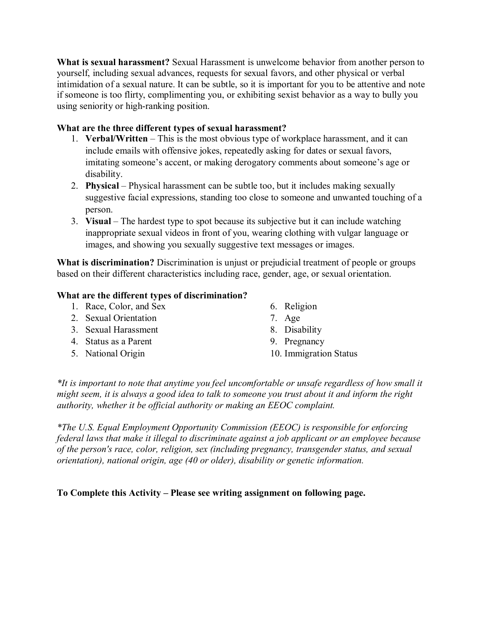**What is sexual harassment?** Sexual Harassment is unwelcome behavior from another person to yourself, including sexual advances, requests for sexual favors, and other physical or verbal intimidation of a sexual nature. It can be subtle, so it is important for you to be attentive and note if someone is too flirty, complimenting you, or exhibiting sexist behavior as a way to bully you using seniority or high-ranking position.

## **What are the three different types of sexual harassment?**

- 1. **Verbal/Written** This is the most obvious type of workplace harassment, and it can include emails with offensive jokes, repeatedly asking for dates or sexual favors, imitating someone's accent, or making derogatory comments about someone's age or disability.
- 2. **Physical** Physical harassment can be subtle too, but it includes making sexually suggestive facial expressions, standing too close to someone and unwanted touching of a person.
- 3. **Visual** The hardest type to spot because its subjective but it can include watching inappropriate sexual videos in front of you, wearing clothing with vulgar language or images, and showing you sexually suggestive text messages or images.

**What is discrimination?** Discrimination is unjust or prejudicial treatment of people or groups based on their different characteristics including race, gender, age, or sexual orientation.

## **What are the different types of discrimination?**

- 1. Race, Color, and Sex
- 2. Sexual Orientation
- 3. Sexual Harassment
- 4. Status as a Parent
- 5. National Origin
- 6. Religion
- 7. Age
- 8. Disability
- 9. Pregnancy
- 10. Immigration Status

*\*It is important to note that anytime you feel uncomfortable or unsafe regardless of how small it might seem, it is always a good idea to talk to someone you trust about it and inform the right authority, whether it be official authority or making an EEOC complaint.* 

*\*The U.S. Equal Employment Opportunity Commission (EEOC) is responsible for enforcing federal laws that make it illegal to discriminate against a job applicant or an employee because of the person's race, color, religion, sex (including pregnancy, transgender status, and sexual orientation), national origin, age (40 or older), disability or genetic information.* 

**To Complete this Activity – Please see writing assignment on following page.**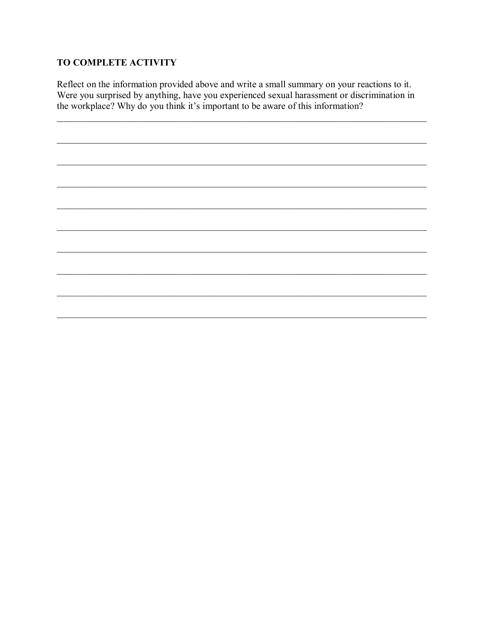## TO COMPLETE ACTIVITY

Reflect on the information provided above and write a small summary on your reactions to it. Were you surprised by anything, have you experienced sexual harassment or discrimination in the workplace? Why do you think it's important to be aware of this information?